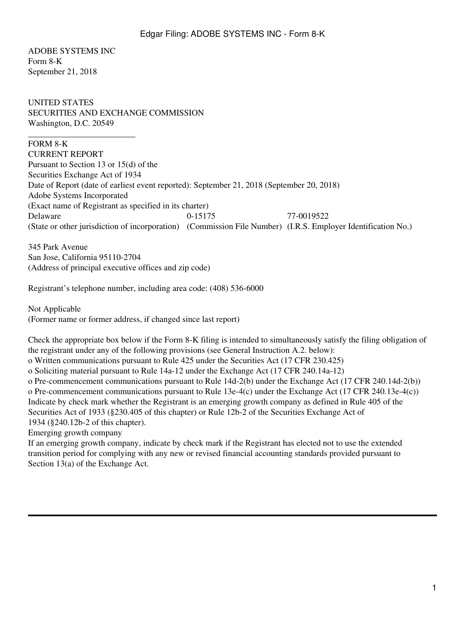ADOBE SYSTEMS INC Form 8-K September 21, 2018

\_\_\_\_\_\_\_\_\_\_\_\_\_\_\_\_\_\_\_\_\_\_\_\_\_

UNITED STATES SECURITIES AND EXCHANGE COMMISSION Washington, D.C. 20549

# FORM 8-K

CURRENT REPORT Pursuant to Section 13 or 15(d) of the Securities Exchange Act of 1934 Date of Report (date of earliest event reported): September 21, 2018 (September 20, 2018) Adobe Systems Incorporated (Exact name of Registrant as specified in its charter) Delaware 0-15175 77-0019522 (State or other jurisdiction of incorporation) (Commission File Number) (I.R.S. Employer Identification No.)

345 Park Avenue San Jose, California 95110-2704 (Address of principal executive offices and zip code)

Registrant's telephone number, including area code: (408) 536-6000

Not Applicable (Former name or former address, if changed since last report)

Check the appropriate box below if the Form 8-K filing is intended to simultaneously satisfy the filing obligation of the registrant under any of the following provisions (see General Instruction A.2. below): o Written communications pursuant to Rule 425 under the Securities Act (17 CFR 230.425) o Soliciting material pursuant to Rule 14a-12 under the Exchange Act (17 CFR 240.14a-12) o Pre-commencement communications pursuant to Rule 14d-2(b) under the Exchange Act (17 CFR 240.14d-2(b)) o Pre-commencement communications pursuant to Rule 13e-4(c) under the Exchange Act (17 CFR 240.13e-4(c)) Indicate by check mark whether the Registrant is an emerging growth company as defined in Rule 405 of the Securities Act of 1933 (§230.405 of this chapter) or Rule 12b-2 of the Securities Exchange Act of 1934 (§240.12b-2 of this chapter). Emerging growth company

If an emerging growth company, indicate by check mark if the Registrant has elected not to use the extended transition period for complying with any new or revised financial accounting standards provided pursuant to Section  $13(a)$  of the Exchange Act.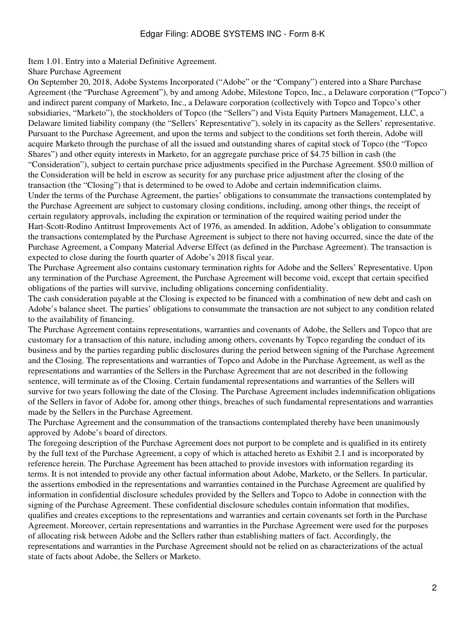# Edgar Filing: ADOBE SYSTEMS INC - Form 8-K

Item 1.01. Entry into a Material Definitive Agreement.

Share Purchase Agreement

On September 20, 2018, Adobe Systems Incorporated ("Adobe" or the "Company") entered into a Share Purchase Agreement (the "Purchase Agreement"), by and among Adobe, Milestone Topco, Inc., a Delaware corporation ("Topco") and indirect parent company of Marketo, Inc., a Delaware corporation (collectively with Topco and Topco's other subsidiaries, "Marketo"), the stockholders of Topco (the "Sellers") and Vista Equity Partners Management, LLC, a Delaware limited liability company (the "Sellers' Representative"), solely in its capacity as the Sellers' representative. Pursuant to the Purchase Agreement, and upon the terms and subject to the conditions set forth therein, Adobe will acquire Marketo through the purchase of all the issued and outstanding shares of capital stock of Topco (the "Topco Shares") and other equity interests in Marketo, for an aggregate purchase price of \$4.75 billion in cash (the "Consideration"), subject to certain purchase price adjustments specified in the Purchase Agreement. \$50.0 million of the Consideration will be held in escrow as security for any purchase price adjustment after the closing of the transaction (the "Closing") that is determined to be owed to Adobe and certain indemnification claims. Under the terms of the Purchase Agreement, the parties' obligations to consummate the transactions contemplated by the Purchase Agreement are subject to customary closing conditions, including, among other things, the receipt of certain regulatory approvals, including the expiration or termination of the required waiting period under the Hart-Scott-Rodino Antitrust Improvements Act of 1976, as amended. In addition, Adobe's obligation to consummate the transactions contemplated by the Purchase Agreement is subject to there not having occurred, since the date of the Purchase Agreement, a Company Material Adverse Effect (as defined in the Purchase Agreement). The transaction is expected to close during the fourth quarter of Adobe's 2018 fiscal year.

The Purchase Agreement also contains customary termination rights for Adobe and the Sellers' Representative. Upon any termination of the Purchase Agreement, the Purchase Agreement will become void, except that certain specified obligations of the parties will survive, including obligations concerning confidentiality.

The cash consideration payable at the Closing is expected to be financed with a combination of new debt and cash on Adobe's balance sheet. The parties' obligations to consummate the transaction are not subject to any condition related to the availability of financing.

The Purchase Agreement contains representations, warranties and covenants of Adobe, the Sellers and Topco that are customary for a transaction of this nature, including among others, covenants by Topco regarding the conduct of its business and by the parties regarding public disclosures during the period between signing of the Purchase Agreement and the Closing. The representations and warranties of Topco and Adobe in the Purchase Agreement, as well as the representations and warranties of the Sellers in the Purchase Agreement that are not described in the following sentence, will terminate as of the Closing. Certain fundamental representations and warranties of the Sellers will survive for two years following the date of the Closing. The Purchase Agreement includes indemnification obligations of the Sellers in favor of Adobe for, among other things, breaches of such fundamental representations and warranties made by the Sellers in the Purchase Agreement.

The Purchase Agreement and the consummation of the transactions contemplated thereby have been unanimously approved by Adobe's board of directors.

The foregoing description of the Purchase Agreement does not purport to be complete and is qualified in its entirety by the full text of the Purchase Agreement, a copy of which is attached hereto as Exhibit 2.1 and is incorporated by reference herein. The Purchase Agreement has been attached to provide investors with information regarding its terms. It is not intended to provide any other factual information about Adobe, Marketo, or the Sellers. In particular, the assertions embodied in the representations and warranties contained in the Purchase Agreement are qualified by information in confidential disclosure schedules provided by the Sellers and Topco to Adobe in connection with the signing of the Purchase Agreement. These confidential disclosure schedules contain information that modifies, qualifies and creates exceptions to the representations and warranties and certain covenants set forth in the Purchase Agreement. Moreover, certain representations and warranties in the Purchase Agreement were used for the purposes of allocating risk between Adobe and the Sellers rather than establishing matters of fact. Accordingly, the representations and warranties in the Purchase Agreement should not be relied on as characterizations of the actual state of facts about Adobe, the Sellers or Marketo.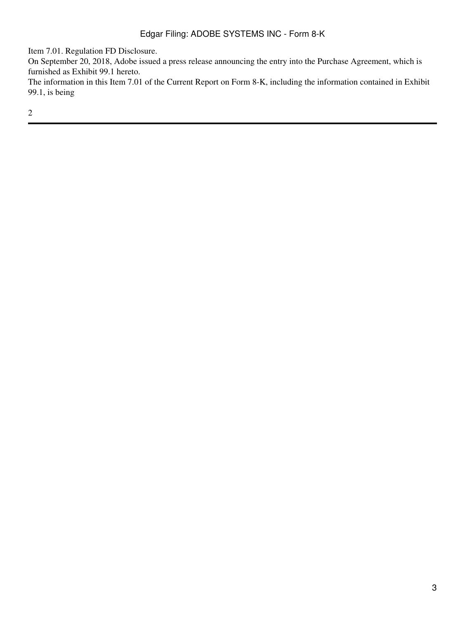Item 7.01. Regulation FD Disclosure.

On September 20, 2018, Adobe issued a press release announcing the entry into the Purchase Agreement, which is furnished as Exhibit 99.1 hereto.

The information in this Item 7.01 of the Current Report on Form 8-K, including the information contained in Exhibit 99.1, is being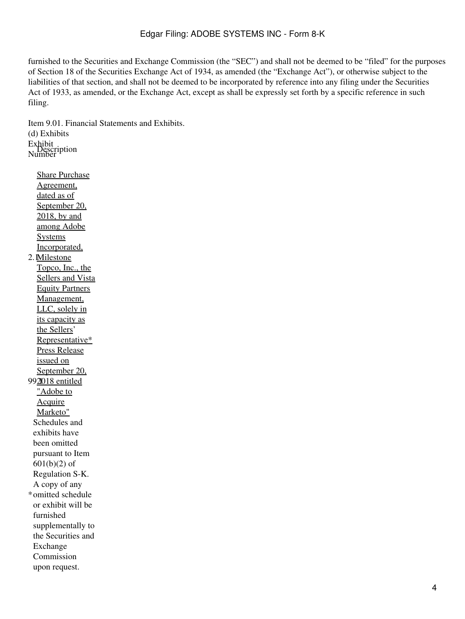# Edgar Filing: ADOBE SYSTEMS INC - Form 8-K

furnished to the Securities and Exchange Commission (the "SEC") and shall not be deemed to be "filed" for the purposes of Section 18 of the Securities Exchange Act of 1934, as amended (the "Exchange Act"), or otherwise subject to the liabilities of that section, and shall not be deemed to be incorporated by reference into any filing under the Securities Act of 1933, as amended, or the Exchange Act, except as shall be expressly set forth by a specific reference in such filing.

Item 9.01. Financial Statements and Exhibits. (d) Exhibits Exhibit Number Description

2. I<u>Milestone</u> Share Purchase Agreement, dated as of September 20, 2018, by and among Adobe **Systems** Incorporated, Topco, Inc., the Sellers and Vista Equity Partners Management, LLC, solely in its capacity as the Sellers' Representative\* 99<u>21018 entitled</u> Press Release issued on September 20, "Adobe to Acquire Marketo" \* omitted schedule Schedules and exhibits have been omitted pursuant to Item 601(b)(2) of Regulation S-K. A copy of any or exhibit will be furnished supplementally to the Securities and Exchange Commission upon request.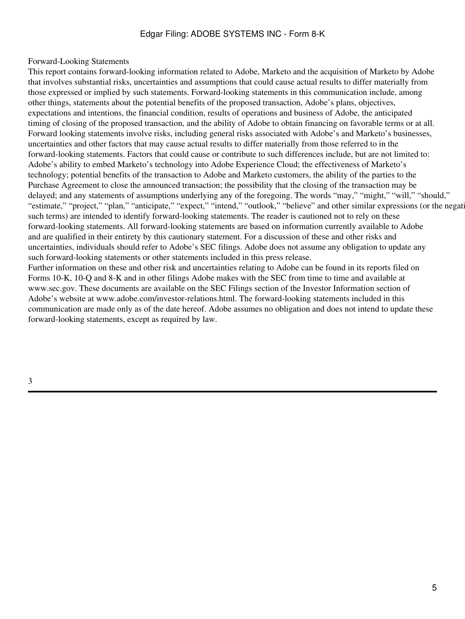# Edgar Filing: ADOBE SYSTEMS INC - Form 8-K

#### Forward-Looking Statements

This report contains forward-looking information related to Adobe, Marketo and the acquisition of Marketo by Adobe that involves substantial risks, uncertainties and assumptions that could cause actual results to differ materially from those expressed or implied by such statements. Forward-looking statements in this communication include, among other things, statements about the potential benefits of the proposed transaction, Adobe's plans, objectives, expectations and intentions, the financial condition, results of operations and business of Adobe, the anticipated timing of closing of the proposed transaction, and the ability of Adobe to obtain financing on favorable terms or at all. Forward looking statements involve risks, including general risks associated with Adobe's and Marketo's businesses, uncertainties and other factors that may cause actual results to differ materially from those referred to in the forward-looking statements. Factors that could cause or contribute to such differences include, but are not limited to: Adobe's ability to embed Marketo's technology into Adobe Experience Cloud; the effectiveness of Marketo's technology; potential benefits of the transaction to Adobe and Marketo customers, the ability of the parties to the Purchase Agreement to close the announced transaction; the possibility that the closing of the transaction may be delayed; and any statements of assumptions underlying any of the foregoing. The words "may," "might," "will," "should," "estimate," "project," "plan," "anticipate," "expect," "intend," "outlook," "believe" and other similar expressions (or the negati such terms) are intended to identify forward-looking statements. The reader is cautioned not to rely on these forward-looking statements. All forward-looking statements are based on information currently available to Adobe and are qualified in their entirety by this cautionary statement. For a discussion of these and other risks and uncertainties, individuals should refer to Adobe's SEC filings. Adobe does not assume any obligation to update any such forward-looking statements or other statements included in this press release. Further information on these and other risk and uncertainties relating to Adobe can be found in its reports filed on

Forms 10-K, 10-Q and 8-K and in other filings Adobe makes with the SEC from time to time and available at www.sec.gov. These documents are available on the SEC Filings section of the Investor Information section of Adobe's website at www.adobe.com/investor-relations.html. The forward-looking statements included in this communication are made only as of the date hereof. Adobe assumes no obligation and does not intend to update these forward-looking statements, except as required by law.